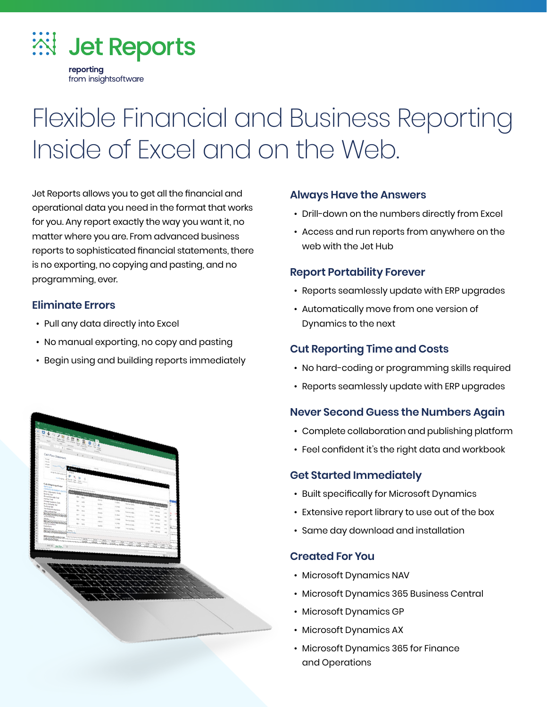

# Flexible Financial and Business Reporting Inside of Excel and on the Web.

Jet Reports allows you to get all the financial and operational data you need in the format that works for you. Any report exactly the way you want it, no matter where you are. From advanced business reports to sophisticated financial statements, there is no exporting, no copying and pasting, and no programming, ever.

#### **Eliminate Errors**

- Pull any data directly into Excel
- No manual exporting, no copy and pasting
- Begin using and building reports immediately



#### **Always Have the Answers**

- Drill-down on the numbers directly from Excel
- Access and run reports from anywhere on the web with the Jet Hub

#### **Report Portability Forever**

- Reports seamlessly update with ERP upgrades
- Automatically move from one version of Dynamics to the next

#### **Cut Reporting Time and Costs**

- No hard-coding or programming skills required
- Reports seamlessly update with ERP upgrades

#### **Never Second Guess the Numbers Again**

- Complete collaboration and publishing platform
- Feel confident it's the right data and workbook

#### **Get Started Immediately**

- Built specifically for Microsoft Dynamics
- Extensive report library to use out of the box
- Same day download and installation

#### **Created For You**

- Microsoft Dynamics NAV
- Microsoft Dynamics 365 Business Central
- Microsoft Dynamics GP
- Microsoft Dynamics AX
- Microsoft Dynamics 365 for Finance and Operations